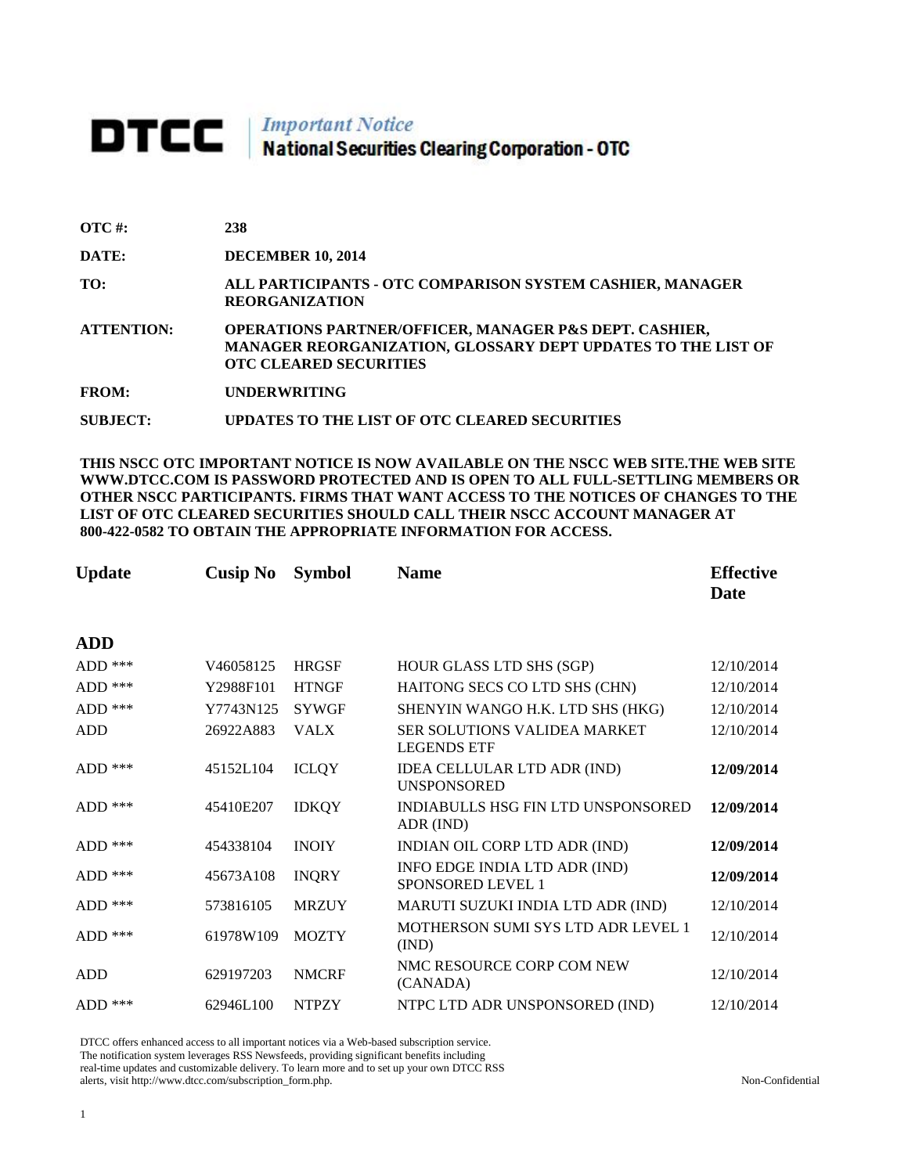# **DTCC** National Securities Clearing Corporation - OTC

| $\overline{OTC}$ #: | 238                                                                                                                                                                |
|---------------------|--------------------------------------------------------------------------------------------------------------------------------------------------------------------|
| DATE:               | <b>DECEMBER 10, 2014</b>                                                                                                                                           |
| TO:                 | ALL PARTICIPANTS - OTC COMPARISON SYSTEM CASHIER, MANAGER<br><b>REORGANIZATION</b>                                                                                 |
| <b>ATTENTION:</b>   | <b>OPERATIONS PARTNER/OFFICER, MANAGER P&amp;S DEPT. CASHIER,</b><br>MANAGER REORGANIZATION, GLOSSARY DEPT UPDATES TO THE LIST OF<br><b>OTC CLEARED SECURITIES</b> |
| <b>FROM:</b>        | <b>UNDERWRITING</b>                                                                                                                                                |
| <b>SUBJECT:</b>     | UPDATES TO THE LIST OF OTC CLEARED SECURITIES                                                                                                                      |

**THIS NSCC OTC IMPORTANT NOTICE IS NOW AVAILABLE ON THE NSCC WEB SITE.THE WEB SITE WWW.DTCC.COM IS PASSWORD PROTECTED AND IS OPEN TO ALL FULL-SETTLING MEMBERS OR OTHER NSCC PARTICIPANTS. FIRMS THAT WANT ACCESS TO THE NOTICES OF CHANGES TO THE LIST OF OTC CLEARED SECURITIES SHOULD CALL THEIR NSCC ACCOUNT MANAGER AT 800-422-0582 TO OBTAIN THE APPROPRIATE INFORMATION FOR ACCESS.** 

| <b>Update</b> | <b>Cusip No</b> | <b>Symbol</b> | <b>Name</b>                                        | <b>Effective</b><br><b>Date</b> |
|---------------|-----------------|---------------|----------------------------------------------------|---------------------------------|
| ADD           |                 |               |                                                    |                                 |
| ADD ***       | V46058125       | <b>HRGSF</b>  | HOUR GLASS LTD SHS (SGP)                           | 12/10/2014                      |
| ADD ***       | Y2988F101       | <b>HTNGF</b>  | HAITONG SECS CO LTD SHS (CHN)                      | 12/10/2014                      |
| $ADD$ ***     | Y7743N125       | <b>SYWGF</b>  | SHENYIN WANGO H.K. LTD SHS (HKG)                   | 12/10/2014                      |
| <b>ADD</b>    | 26922A883       | <b>VALX</b>   | SER SOLUTIONS VALIDEA MARKET<br><b>LEGENDS ETF</b> | 12/10/2014                      |
| ADD ***       | 45152L104       | <b>ICLQY</b>  | IDEA CELLULAR LTD ADR (IND)<br><b>UNSPONSORED</b>  | 12/09/2014                      |
| $ADD$ ***     | 45410E207       | <b>IDKQY</b>  | INDIABULLS HSG FIN LTD UNSPONSORED<br>ADR (IND)    | 12/09/2014                      |
| $ADD$ ***     | 454338104       | <b>INOIY</b>  | INDIAN OIL CORP LTD ADR (IND)                      | 12/09/2014                      |
| $ADD$ ***     | 45673A108       | <b>INQRY</b>  | INFO EDGE INDIA LTD ADR (IND)<br>SPONSORED LEVEL 1 | 12/09/2014                      |
| $ADD$ ***     | 573816105       | <b>MRZUY</b>  | MARUTI SUZUKI INDIA LTD ADR (IND)                  | 12/10/2014                      |
| $ADD$ ***     | 61978W109       | <b>MOZTY</b>  | <b>MOTHERSON SUMI SYS LTD ADR LEVEL 1</b><br>(IND) | 12/10/2014                      |
| ADD           | 629197203       | <b>NMCRF</b>  | NMC RESOURCE CORP COM NEW<br>(CANADA)              | 12/10/2014                      |
| ADD ***       | 62946L100       | <b>NTPZY</b>  | NTPC LTD ADR UNSPONSORED (IND)                     | 12/10/2014                      |

DTCC offers enhanced access to all important notices via a Web-based subscription service.

The notification system leverages RSS Newsfeeds, providing significant benefits including real-time updates and customizable delivery. To learn more and to set up your own DTCC RSS